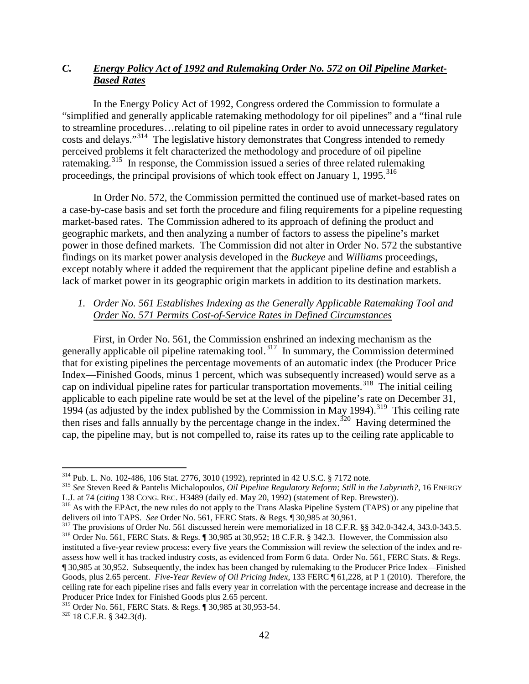## *C. Energy Policy Act of 1992 and Rulemaking Order No. 572 on Oil Pipeline Market-Based Rates*

In the Energy Policy Act of 1992, Congress ordered the Commission to formulate a "simplified and generally applicable ratemaking methodology for oil pipelines" and a "final rule to streamline procedures…relating to oil pipeline rates in order to avoid unnecessary regulatory costs and delays."[314](#page-0-0) The legislative history demonstrates that Congress intended to remedy perceived problems it felt characterized the methodology and procedure of oil pipeline ratemaking.<sup>315</sup> In response, the Commission issued a series of three related rulemaking proceedings, the principal provisions of which took effect on January 1, 1995. $^{316}$  $^{316}$  $^{316}$ 

In Order No. 572, the Commission permitted the continued use of market-based rates on a case-by-case basis and set forth the procedure and filing requirements for a pipeline requesting market-based rates. The Commission adhered to its approach of defining the product and geographic markets, and then analyzing a number of factors to assess the pipeline's market power in those defined markets. The Commission did not alter in Order No. 572 the substantive findings on its market power analysis developed in the *Buckeye* and *Williams* proceedings, except notably where it added the requirement that the applicant pipeline define and establish a lack of market power in its geographic origin markets in addition to its destination markets.

## *1. Order No. 561 Establishes Indexing as the Generally Applicable Ratemaking Tool and Order No. 571 Permits Cost-of-Service Rates in Defined Circumstances*

First, in Order No. 561, the Commission enshrined an indexing mechanism as the generally applicable oil pipeline ratemaking tool.<sup>317</sup> In summary, the Commission determined that for existing pipelines the percentage movements of an automatic index (the Producer Price Index—Finished Goods, minus 1 percent, which was subsequently increased) would serve as a cap on individual pipeline rates for particular transportation movements.<sup>[318](#page-0-4)</sup> The initial ceiling applicable to each pipeline rate would be set at the level of the pipeline's rate on December 31, 1994 (as adjusted by the index published by the Commission in May 1994). [319](#page-0-5) This ceiling rate then rises and falls annually by the percentage change in the index.<sup>[320](#page-0-6)</sup> Having determined the cap, the pipeline may, but is not compelled to, raise its rates up to the ceiling rate applicable to

<span id="page-0-4"></span><span id="page-0-3"></span><sup>317</sup> The provisions of Order No. 561 discussed herein were memorialized in 18 C.F.R. §§ 342.0-342.4, 343.0-343.5.<br><sup>318</sup> Order No. 561, FERC Stats. & Regs. ¶ 30,985 at 30,952; 18 C.F.R. § 342.3. However, the Commission al instituted a five-year review process: every five years the Commission will review the selection of the index and re-

assess how well it has tracked industry costs, as evidenced from Form 6 data. Order No. 561, FERC Stats. & Regs. ¶ 30,985 at 30,952. Subsequently, the index has been changed by rulemaking to the Producer Price Index—Finished Goods, plus 2.65 percent. *Five-Year Review of Oil Pricing Index*, 133 FERC ¶ 61,228, at P 1 (2010). Therefore, the ceiling rate for each pipeline rises and falls every year in correlation with the percentage increase and decrease in the Producer Price Index for Finished Goods plus 2.65 percent.

<span id="page-0-0"></span><sup>&</sup>lt;sup>314</sup> Pub. L. No. 102-486, 106 Stat. 2776, 3010 (1992), reprinted in 42 U.S.C. § 7172 note.<br><sup>315</sup> *See* Steven Reed & Pantelis Michalopoulos, *Oil Pipeline Regulatory Reform; Still in the Labyrinth?*, 16 ENERGY

<span id="page-0-2"></span><span id="page-0-1"></span>L.J. at 74 (*citing* 138 CONG. REC. H3489 (daily ed. May 20, 1992) (statement of Rep. Brewster)).<br><sup>316</sup> As with the EPAct, the new rules do not apply to the Trans Alaska Pipeline System (TAPS) or any pipeline that<br>delivers

<span id="page-0-6"></span><span id="page-0-5"></span><sup>319</sup> Order No. 561, FERC Stats. & Regs. ¶ 30,985 at 30,953-54. 320 18 C.F.R. § 342.3(d).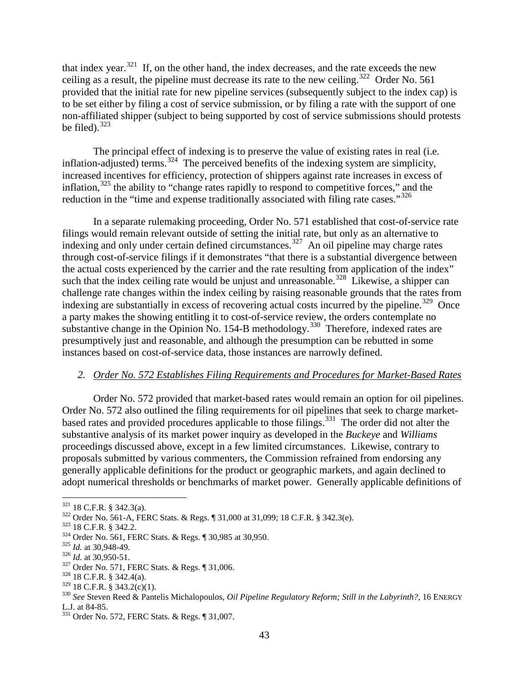that index year.<sup>[321](#page-1-0)</sup> If, on the other hand, the index decreases, and the rate exceeds the new ceiling as a result, the pipeline must decrease its rate to the new ceiling.<sup>[322](#page-1-1)</sup> Order No. 561 provided that the initial rate for new pipeline services (subsequently subject to the index cap) is to be set either by filing a cost of service submission, or by filing a rate with the support of one non-affiliated shipper (subject to being supported by cost of service submissions should protests be filed). $323$ 

The principal effect of indexing is to preserve the value of existing rates in real (i.e. inflation-adjusted) terms.<sup>[324](#page-1-3)</sup> The perceived benefits of the indexing system are simplicity, increased incentives for efficiency, protection of shippers against rate increases in excess of inflation,<sup>[325](#page-1-4)</sup> the ability to "change rates rapidly to respond to competitive forces," and the reduction in the "time and expense traditionally associated with filing rate cases."<sup>[326](#page-1-5)</sup>

In a separate rulemaking proceeding, Order No. 571 established that cost-of-service rate filings would remain relevant outside of setting the initial rate, but only as an alternative to indexing and only under certain defined circumstances. [327](#page-1-6) An oil pipeline may charge rates through cost-of-service filings if it demonstrates "that there is a substantial divergence between the actual costs experienced by the carrier and the rate resulting from application of the index" such that the index ceiling rate would be unjust and unreasonable.<sup>[328](#page-1-7)</sup> Likewise, a shipper can challenge rate changes within the index ceiling by raising reasonable grounds that the rates from indexing are substantially in excess of recovering actual costs incurred by the pipeline.<sup>[329](#page-1-8)</sup> Once a party makes the showing entitling it to cost-of-service review, the orders contemplate no substantive change in the Opinion No. 154-B methodology.<sup>[330](#page-1-9)</sup> Therefore, indexed rates are presumptively just and reasonable, and although the presumption can be rebutted in some instances based on cost-of-service data, those instances are narrowly defined.

## *2. Order No. 572 Establishes Filing Requirements and Procedures for Market-Based Rates*

Order No. 572 provided that market-based rates would remain an option for oil pipelines. Order No. 572 also outlined the filing requirements for oil pipelines that seek to charge marketbased rates and provided procedures applicable to those filings.<sup>331</sup> The order did not alter the substantive analysis of its market power inquiry as developed in the *Buckeye* and *Williams*  proceedings discussed above, except in a few limited circumstances. Likewise, contrary to proposals submitted by various commenters, the Commission refrained from endorsing any generally applicable definitions for the product or geographic markets, and again declined to adopt numerical thresholds or benchmarks of market power. Generally applicable definitions of

<span id="page-1-6"></span>

<span id="page-1-1"></span><span id="page-1-0"></span><sup>&</sup>lt;sup>321</sup> 18 C.F.R. § 342.3(a).<br><sup>322</sup> Order No. 561-A, FERC Stats. & Regs. ¶ 31,000 at 31,099; 18 C.F.R. § 342.3(e).<br><sup>323</sup> 18 C.F.R. § 342.2.<br><sup>324</sup> Order No. 561, FERC Stats. & Regs. ¶ 30,985 at 30,950.<br><sup>325</sup> Id. at 30,948-49

<span id="page-1-2"></span>

<span id="page-1-3"></span>

<span id="page-1-4"></span>

<span id="page-1-5"></span>

<span id="page-1-7"></span>

<span id="page-1-9"></span><span id="page-1-8"></span><sup>&</sup>lt;sup>330</sup> See Steven Reed & Pantelis Michalopoulos, *Oil Pipeline Regulatory Reform; Still in the Labyrinth?*, 16 ENERGY L.J. at 84-85.

<span id="page-1-10"></span> $331$  Order No. 572, FERC Stats. & Regs. ¶ 31,007.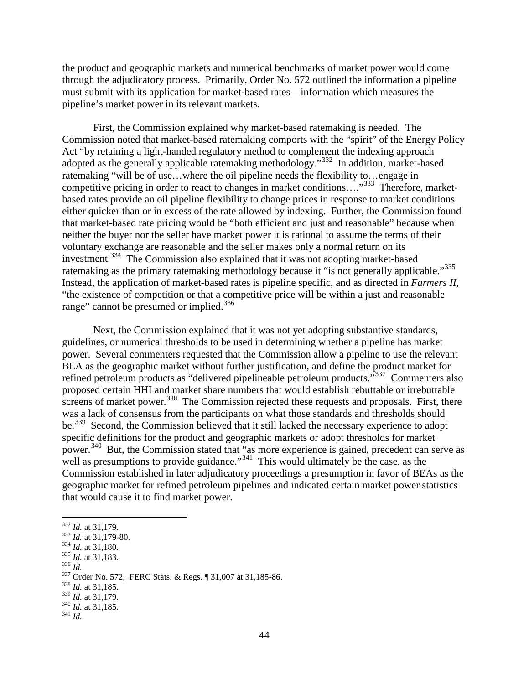the product and geographic markets and numerical benchmarks of market power would come through the adjudicatory process. Primarily, Order No. 572 outlined the information a pipeline must submit with its application for market-based rates—information which measures the pipeline's market power in its relevant markets.

First, the Commission explained why market-based ratemaking is needed. The Commission noted that market-based ratemaking comports with the "spirit" of the Energy Policy Act "by retaining a light-handed regulatory method to complement the indexing approach adopted as the generally applicable ratemaking methodology."[332](#page-2-0) In addition, market-based ratemaking "will be of use…where the oil pipeline needs the flexibility to…engage in competitive pricing in order to react to changes in market conditions....<sup>"333</sup> Therefore, marketbased rates provide an oil pipeline flexibility to change prices in response to market conditions either quicker than or in excess of the rate allowed by indexing. Further, the Commission found that market-based rate pricing would be "both efficient and just and reasonable" because when neither the buyer nor the seller have market power it is rational to assume the terms of their voluntary exchange are reasonable and the seller makes only a normal return on its investment.[334](#page-2-2) The Commission also explained that it was not adopting market-based ratemaking as the primary ratemaking methodology because it "is not generally applicable."<sup>[335](#page-2-3)</sup> Instead, the application of market-based rates is pipeline specific, and as directed in *Farmers II*, "the existence of competition or that a competitive price will be within a just and reasonable range" cannot be presumed or implied.<sup>[336](#page-2-4)</sup>

Next, the Commission explained that it was not yet adopting substantive standards, guidelines, or numerical thresholds to be used in determining whether a pipeline has market power. Several commenters requested that the Commission allow a pipeline to use the relevant BEA as the geographic market without further justification, and define the product market for refined petroleum products as "delivered pipelineable petroleum products."<sup>337</sup> Commenters also proposed certain HHI and market share numbers that would establish rebuttable or irrebuttable  $\frac{1}{2}$  screens of market power.<sup>[338](#page-2-6)</sup> The Commission rejected these requests and proposals. First, there was a lack of consensus from the participants on what those standards and thresholds should be.<sup>[339](#page-2-7)</sup> Second, the Commission believed that it still lacked the necessary experience to adopt specific definitions for the product and geographic markets or adopt thresholds for market power.<sup>340</sup> But, the Commission stated that "as more experience is gained, precedent can serve as well as presumptions to provide guidance."<sup>341</sup> This would ultimately be the case, as the Commission established in later adjudicatory proceedings a presumption in favor of BEAs as the geographic market for refined petroleum pipelines and indicated certain market power statistics that would cause it to find market power.

- <span id="page-2-2"></span>
- <span id="page-2-3"></span>
- <span id="page-2-5"></span><span id="page-2-4"></span>

<span id="page-2-1"></span><span id="page-2-0"></span><sup>&</sup>lt;sup>332</sup> *Id.* at 31,179.<br>
<sup>333</sup> *Id.* at 31,179-80.<br>
<sup>334</sup> *Id.* at 31,180.<br>
<sup>335</sup> *Id.* at 31,183.<br>
<sup>336</sup> *Id.*<br>
<sup>337</sup> Order No. 572, FERC Stats. & Regs. ¶ 31,007 at 31,185-86.<br>
<sup>338</sup> *Id.* at 31,185.<br>
<sup>339</sup> *Id.* at 31,17

<span id="page-2-6"></span>

<span id="page-2-7"></span>

<span id="page-2-9"></span><span id="page-2-8"></span>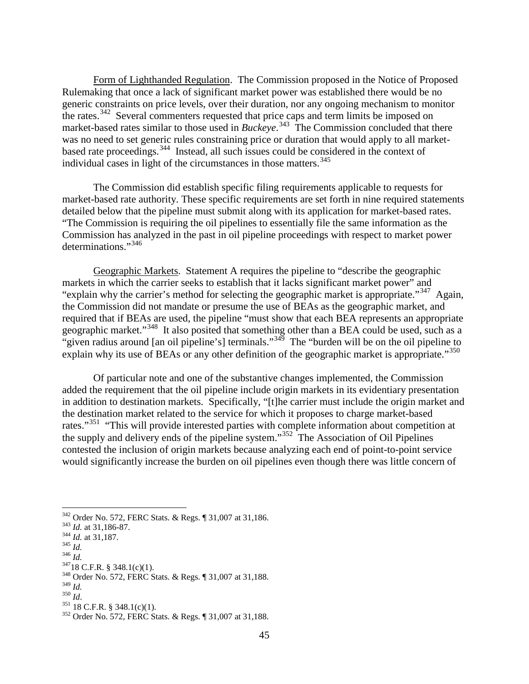Form of Lighthanded Regulation. The Commission proposed in the Notice of Proposed Rulemaking that once a lack of significant market power was established there would be no generic constraints on price levels, over their duration, nor any ongoing mechanism to monitor the rates.<sup>[342](#page-3-0)</sup> Several commenters requested that price caps and term limits be imposed on market-based rates similar to those used in *Buckeye*. [343](#page-3-1) The Commission concluded that there was no need to set generic rules constraining price or duration that would apply to all marketbased rate proceedings. [344](#page-3-2) Instead, all such issues could be considered in the context of individual cases in light of the circumstances in those matters. [345](#page-3-3)

The Commission did establish specific filing requirements applicable to requests for market-based rate authority. These specific requirements are set forth in nine required statements detailed below that the pipeline must submit along with its application for market-based rates. "The Commission is requiring the oil pipelines to essentially file the same information as the Commission has analyzed in the past in oil pipeline proceedings with respect to market power determinations."[346](#page-3-4)

Geographic Markets. Statement A requires the pipeline to "describe the geographic markets in which the carrier seeks to establish that it lacks significant market power" and "explain why the carrier's method for selecting the geographic market is appropriate."<sup>347</sup> Again, the Commission did not mandate or presume the use of BEAs as the geographic market, and required that if BEAs are used, the pipeline "must show that each BEA represents an appropriate geographic market."<sup>348</sup> It also posited that something other than a BEA could be used, such as a "given radius around [an oil pipeline's] terminals."<sup>[349](#page-3-7)</sup> The "burden will be on the oil pipeline to explain why its use of BEAs or any other definition of the geographic market is appropriate."<sup>[350](#page-3-8)</sup>

Of particular note and one of the substantive changes implemented, the Commission added the requirement that the oil pipeline include origin markets in its evidentiary presentation in addition to destination markets. Specifically, "[t]he carrier must include the origin market and the destination market related to the service for which it proposes to charge market-based rates."<sup>351</sup> "This will provide interested parties with complete information about competition at the supply and delivery ends of the pipeline system."[352](#page-3-10) The Association of Oil Pipelines contested the inclusion of origin markets because analyzing each end of point-to-point service would significantly increase the burden on oil pipelines even though there was little concern of

<span id="page-3-1"></span><span id="page-3-0"></span>

<span id="page-3-2"></span>

<span id="page-3-3"></span>

<span id="page-3-4"></span>

<span id="page-3-6"></span><span id="page-3-5"></span>

<sup>&</sup>lt;sup>342</sup> Order No. 572, FERC Stats. & Regs. ¶ 31,007 at 31,186.<br><sup>343</sup> *Id.* at 31,186-87.<br><sup>344</sup> *Id.* at 31,187.<br><sup>345</sup> *Id.*<br><sup>346</sup> *Id.*<br><sup>346</sup> *Id.*<br><sup>346</sup> *Id.*<br><sup>348</sup> Order No. 572, FERC Stats. & Regs. ¶ 31,007 at 31,188.<br><sup>34</sup>

<span id="page-3-7"></span>

<span id="page-3-9"></span><span id="page-3-8"></span>

<span id="page-3-10"></span>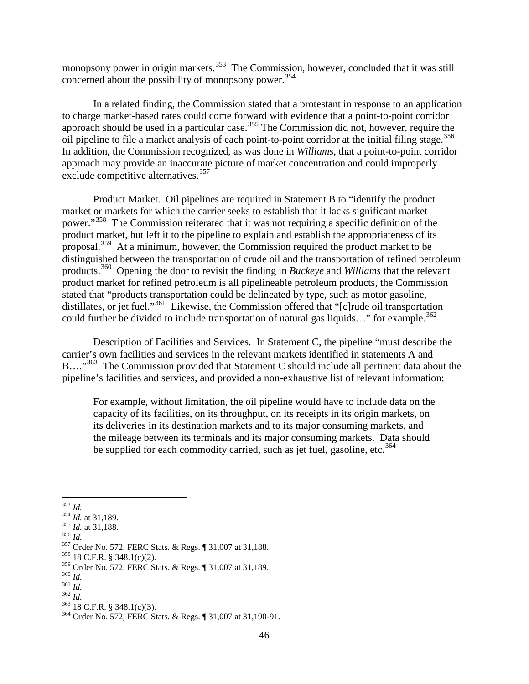monopsony power in origin markets.<sup>353</sup> The Commission, however, concluded that it was still concerned about the possibility of monopsony power.<sup>[354](#page-4-1)</sup>

In a related finding, the Commission stated that a protestant in response to an application to charge market-based rates could come forward with evidence that a point-to-point corridor approach should be used in a particular case.<sup>[355](#page-4-2)</sup> The Commission did not, however, require the oil pipeline to file a market analysis of each point-to-point corridor at the initial filing stage. [356](#page-4-3) In addition, the Commission recognized, as was done in *Williams*, that a point-to-point corridor approach may provide an inaccurate picture of market concentration and could improperly exclude competitive alternatives.<sup>[357](#page-4-4)</sup>

Product Market. Oil pipelines are required in Statement B to "identify the product market or markets for which the carrier seeks to establish that it lacks significant market power."[358](#page-4-5) The Commission reiterated that it was not requiring a specific definition of the product market, but left it to the pipeline to explain and establish the appropriateness of its proposal.<sup>[359](#page-4-6)</sup> At a minimum, however, the Commission required the product market to be distinguished between the transportation of crude oil and the transportation of refined petroleum products.[360](#page-4-7) Opening the door to revisit the finding in *Buckeye* and *Williams* that the relevant product market for refined petroleum is all pipelineable petroleum products, the Commission stated that "products transportation could be delineated by type, such as motor gasoline, distillates, or jet fuel."[361](#page-4-8) Likewise, the Commission offered that "[c]rude oil transportation could further be divided to include transportation of natural gas liquids..." for example.<sup>[362](#page-4-9)</sup>

Description of Facilities and Services. In Statement C, the pipeline "must describe the carrier's own facilities and services in the relevant markets identified in statements A and B...."<sup>[363](#page-4-10)</sup> The Commission provided that Statement C should include all pertinent data about the pipeline's facilities and services, and provided a non-exhaustive list of relevant information:

For example, without limitation, the oil pipeline would have to include data on the capacity of its facilities, on its throughput, on its receipts in its origin markets, on its deliveries in its destination markets and to its major consuming markets, and the mileage between its terminals and its major consuming markets. Data should be supplied for each commodity carried, such as jet fuel, gasoline, etc.<sup>[364](#page-4-11)</sup>

<span id="page-4-2"></span>

<span id="page-4-4"></span><span id="page-4-3"></span>

<span id="page-4-1"></span><span id="page-4-0"></span><sup>&</sup>lt;sup>353</sup> *Id.* 354 *Id.* at 31,189.<br><sup>355</sup> *Id.* at 31,188.<br><sup>356</sup> *Id.* 357 Order No. 572, FERC Stats. & Regs. ¶ 31,007 at 31,188.<br><sup>358</sup> 18 C.F.R. § 348.1(c)(2).<br><sup>359</sup> Order No. 572, FERC Stats. & Regs. ¶ 31,007 at 31,189.

<span id="page-4-5"></span>

<span id="page-4-9"></span>

<span id="page-4-11"></span><span id="page-4-10"></span>

<span id="page-4-8"></span><span id="page-4-7"></span><span id="page-4-6"></span><sup>360</sup> *Id.*<br>
361 *Id.*<br>
362 *Id.*<br>
363 18 C.F.R. § 348.1(c)(3).<br>
364 Order No. 572, FERC Stats. & Regs. ¶ 31,007 at 31,190-91.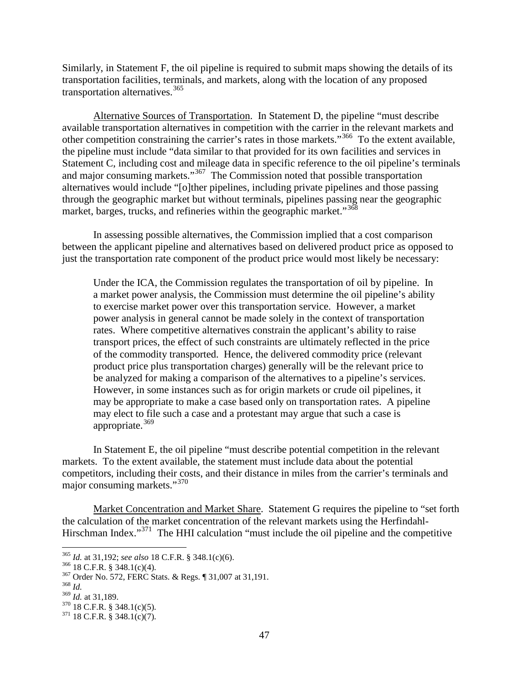Similarly, in Statement F, the oil pipeline is required to submit maps showing the details of its transportation facilities, terminals, and markets, along with the location of any proposed transportation alternatives.<sup>[365](#page-5-0)</sup>

Alternative Sources of Transportation. In Statement D, the pipeline "must describe available transportation alternatives in competition with the carrier in the relevant markets and other competition constraining the carrier's rates in those markets."[366](#page-5-1) To the extent available, the pipeline must include "data similar to that provided for its own facilities and services in Statement C, including cost and mileage data in specific reference to the oil pipeline's terminals and major consuming markets."<sup>[367](#page-5-2)</sup> The Commission noted that possible transportation alternatives would include "[o]ther pipelines, including private pipelines and those passing through the geographic market but without terminals, pipelines passing near the geographic market, barges, trucks, and refineries within the geographic market."<sup>[368](#page-5-3)</sup>

In assessing possible alternatives, the Commission implied that a cost comparison between the applicant pipeline and alternatives based on delivered product price as opposed to just the transportation rate component of the product price would most likely be necessary:

Under the ICA, the Commission regulates the transportation of oil by pipeline. In a market power analysis, the Commission must determine the oil pipeline's ability to exercise market power over this transportation service. However, a market power analysis in general cannot be made solely in the context of transportation rates. Where competitive alternatives constrain the applicant's ability to raise transport prices, the effect of such constraints are ultimately reflected in the price of the commodity transported. Hence, the delivered commodity price (relevant product price plus transportation charges) generally will be the relevant price to be analyzed for making a comparison of the alternatives to a pipeline's services. However, in some instances such as for origin markets or crude oil pipelines, it may be appropriate to make a case based only on transportation rates. A pipeline may elect to file such a case and a protestant may argue that such a case is appropriate. $369$ 

In Statement E, the oil pipeline "must describe potential competition in the relevant markets. To the extent available, the statement must include data about the potential competitors, including their costs, and their distance in miles from the carrier's terminals and major consuming markets."[370](#page-5-5)

Market Concentration and Market Share. Statement G requires the pipeline to "set forth the calculation of the market concentration of the relevant markets using the Herfindahl-Hirschman Index."<sup>[371](#page-5-6)</sup> The HHI calculation "must include the oil pipeline and the competitive

<span id="page-5-1"></span>

<span id="page-5-0"></span><sup>&</sup>lt;sup>365</sup> *Id.* at 31,192; *see also* 18 C.F.R. § 348.1(c)(6).<br><sup>366</sup> 18 C.F.R. § 348.1(c)(4).<br><sup>367</sup> Order No. 572, FERC Stats. & Regs. ¶ 31,007 at 31,191.<br><sup>368</sup> *Id.* at 31,189.

<span id="page-5-3"></span><span id="page-5-2"></span>

<span id="page-5-5"></span><span id="page-5-4"></span><sup>&</sup>lt;sup>370</sup> 18 C.F.R. § 348.1(c)(5).<br><sup>371</sup> 18 C.F.R. § 348.1(c)(7).

<span id="page-5-6"></span>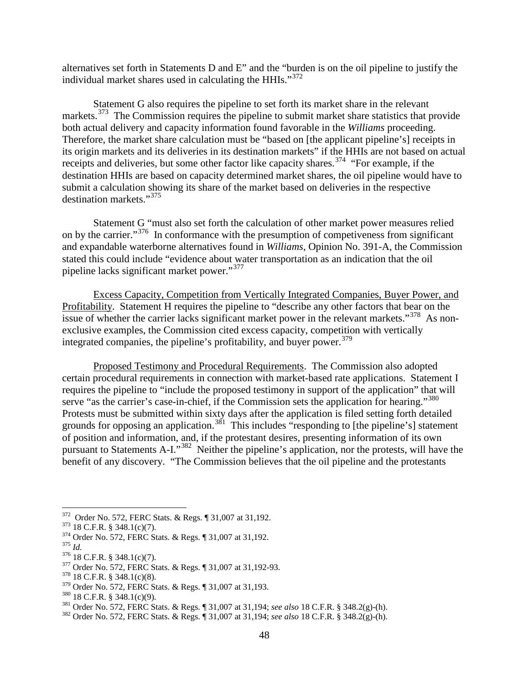alternatives set forth in Statements D and E" and the "burden is on the oil pipeline to justify the individual market shares used in calculating the HHIs."<sup>[372](#page-6-0)</sup>

Statement G also requires the pipeline to set forth its market share in the relevant markets.<sup>373</sup> The Commission requires the pipeline to submit market share statistics that provide both actual delivery and capacity information found favorable in the *Williams* proceeding. Therefore, the market share calculation must be "based on [the applicant pipeline's] receipts in its origin markets and its deliveries in its destination markets" if the HHIs are not based on actual receipts and deliveries, but some other factor like capacity shares.<sup>[374](#page-6-2)</sup> "For example, if the destination HHIs are based on capacity determined market shares, the oil pipeline would have to submit a calculation showing its share of the market based on deliveries in the respective destination markets."<sup>375</sup>

Statement G "must also set forth the calculation of other market power measures relied on by the carrier."<sup>[376](#page-6-4)</sup> In conformance with the presumption of competiveness from significant and expandable waterborne alternatives found in *Williams*, Opinion No. 391-A, the Commission stated this could include "evidence about water transportation as an indication that the oil pipeline lacks significant market power."[377](#page-6-5)

Excess Capacity, Competition from Vertically Integrated Companies, Buyer Power, and Profitability. Statement H requires the pipeline to "describe any other factors that bear on the issue of whether the carrier lacks significant market power in the relevant markets."<sup>378</sup> As nonexclusive examples, the Commission cited excess capacity, competition with vertically integrated companies, the pipeline's profitability, and buyer power.<sup>[379](#page-6-7)</sup>

Proposed Testimony and Procedural Requirements. The Commission also adopted certain procedural requirements in connection with market-based rate applications. Statement I requires the pipeline to "include the proposed testimony in support of the application" that will serve "as the carrier's case-in-chief, if the Commission sets the application for hearing."<sup>[380](#page-6-8)</sup> Protests must be submitted within sixty days after the application is filed setting forth detailed grounds for opposing an application.<sup>[381](#page-6-9)</sup> This includes "responding to [the pipeline's] statement of position and information, and, if the protestant desires, presenting information of its own pursuant to Statements A-I."[382](#page-6-10) Neither the pipeline's application, nor the protests, will have the benefit of any discovery. "The Commission believes that the oil pipeline and the protestants

<span id="page-6-2"></span>

<span id="page-6-1"></span><span id="page-6-0"></span><sup>&</sup>lt;sup>372</sup> Order No. 572, FERC Stats. & Regs. ¶ 31,007 at 31,192.<br><sup>373</sup> 18 C.F.R. § 348.1(c)(7).<br><sup>374</sup> Order No. 572, FERC Stats. & Regs. ¶ 31,007 at 31,192.<br><sup>375</sup> I8 C.F.R. § 348.1(c)(7).<br><sup>377</sup> Order No. 572, FERC Stats. & Re

<span id="page-6-3"></span>

<span id="page-6-4"></span>

<span id="page-6-5"></span>

<span id="page-6-6"></span>

<span id="page-6-9"></span><span id="page-6-8"></span><span id="page-6-7"></span><sup>&</sup>lt;sup>380</sup> 18 C.F.R. § 348.1(c)(9).<br><sup>381</sup> Order No. 572, FERC Stats. & Regs. ¶ 31,007 at 31,194; *see also* 18 C.F.R. § 348.2(g)-(h).<br><sup>382</sup> Order No. 572, FERC Stats. & Regs. ¶ 31,007 at 31,194; *see also* 18 C.F.R. § 348.2(g)-

<span id="page-6-10"></span>